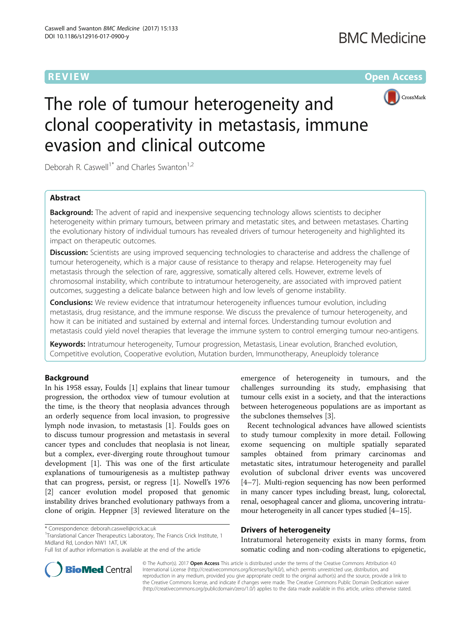**REVIEW CONSTRUCTION CONSTRUCTION CONSTRUCTS** 



# The role of tumour heterogeneity and clonal cooperativity in metastasis, immune evasion and clinical outcome

Deborah R. Caswell<sup>1\*</sup> and Charles Swanton<sup>1,2</sup>

# Abstract

**Background:** The advent of rapid and inexpensive sequencing technology allows scientists to decipher heterogeneity within primary tumours, between primary and metastatic sites, and between metastases. Charting the evolutionary history of individual tumours has revealed drivers of tumour heterogeneity and highlighted its impact on therapeutic outcomes.

Discussion: Scientists are using improved sequencing technologies to characterise and address the challenge of tumour heterogeneity, which is a major cause of resistance to therapy and relapse. Heterogeneity may fuel metastasis through the selection of rare, aggressive, somatically altered cells. However, extreme levels of chromosomal instability, which contribute to intratumour heterogeneity, are associated with improved patient outcomes, suggesting a delicate balance between high and low levels of genome instability.

**Conclusions:** We review evidence that intratumour heterogeneity influences tumour evolution, including metastasis, drug resistance, and the immune response. We discuss the prevalence of tumour heterogeneity, and how it can be initiated and sustained by external and internal forces. Understanding tumour evolution and metastasis could yield novel therapies that leverage the immune system to control emerging tumour neo-antigens.

Keywords: Intratumour heterogeneity, Tumour progression, Metastasis, Linear evolution, Branched evolution, Competitive evolution, Cooperative evolution, Mutation burden, Immunotherapy, Aneuploidy tolerance

# Background

In his 1958 essay, Foulds [\[1](#page-6-0)] explains that linear tumour progression, the orthodox view of tumour evolution at the time, is the theory that neoplasia advances through an orderly sequence from local invasion, to progressive lymph node invasion, to metastasis [\[1](#page-6-0)]. Foulds goes on to discuss tumour progression and metastasis in several cancer types and concludes that neoplasia is not linear, but a complex, ever-diverging route throughout tumour development [\[1\]](#page-6-0). This was one of the first articulate explanations of tumourigenesis as a multistep pathway that can progress, persist, or regress [\[1](#page-6-0)]. Nowell's 1976 [[2\]](#page-6-0) cancer evolution model proposed that genomic instability drives branched evolutionary pathways from a clone of origin. Heppner [[3\]](#page-6-0) reviewed literature on the

<sup>1</sup>Translational Cancer Therapeutics Laboratory, The Francis Crick Institute, 1 Midland Rd, London NW1 1AT, UK

emergence of heterogeneity in tumours, and the challenges surrounding its study, emphasising that tumour cells exist in a society, and that the interactions between heterogeneous populations are as important as the subclones themselves [\[3\]](#page-6-0).

Recent technological advances have allowed scientists to study tumour complexity in more detail. Following exome sequencing on multiple spatially separated samples obtained from primary carcinomas and metastatic sites, intratumour heterogeneity and parallel evolution of subclonal driver events was uncovered [[4](#page-6-0)–[7\]](#page-6-0). Multi-region sequencing has now been performed in many cancer types including breast, lung, colorectal, renal, oesophageal cancer and glioma, uncovering intratumour heterogeneity in all cancer types studied [\[4](#page-6-0)–[15](#page-6-0)].

# Drivers of heterogeneity

Intratumoral heterogeneity exists in many forms, from somatic coding and non-coding alterations to epigenetic,



© The Author(s). 2017 **Open Access** This article is distributed under the terms of the Creative Commons Attribution 4.0 International License [\(http://creativecommons.org/licenses/by/4.0/](http://creativecommons.org/licenses/by/4.0/)), which permits unrestricted use, distribution, and reproduction in any medium, provided you give appropriate credit to the original author(s) and the source, provide a link to the Creative Commons license, and indicate if changes were made. The Creative Commons Public Domain Dedication waiver [\(http://creativecommons.org/publicdomain/zero/1.0/](http://creativecommons.org/publicdomain/zero/1.0/)) applies to the data made available in this article, unless otherwise stated.

<sup>\*</sup> Correspondence: [deborah.caswell@crick.ac.uk](mailto:deborah.caswell@crick.ac.uk) <sup>1</sup>

Full list of author information is available at the end of the article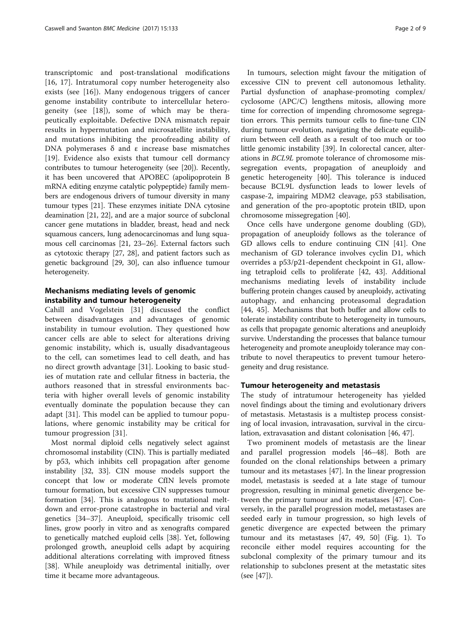transcriptomic and post-translational modifications [[16, 17](#page-6-0)]. Intratumoral copy number heterogeneity also exists (see [\[16](#page-6-0)]). Many endogenous triggers of cancer genome instability contribute to intercellular heterogeneity (see [[18\]](#page-6-0)), some of which may be therapeutically exploitable. Defective DNA mismatch repair results in hypermutation and microsatellite instability, and mutations inhibiting the proofreading ability of DNA polymerases  $δ$  and  $ε$  increase base mismatches [[19\]](#page-6-0). Evidence also exists that tumour cell dormancy contributes to tumour heterogeneity (see [\[20](#page-6-0)]). Recently, it has been uncovered that APOBEC (apolipoprotein B mRNA editing enzyme catalytic polypeptide) family members are endogenous drivers of tumour diversity in many tumour types [[21\]](#page-6-0). These enzymes initiate DNA cytosine deamination [[21](#page-6-0), [22](#page-6-0)], and are a major source of subclonal cancer gene mutations in bladder, breast, head and neck squamous cancers, lung adenocarcinomas and lung squamous cell carcinomas [\[21, 23](#page-6-0)–[26](#page-6-0)]. External factors such as cytotoxic therapy [\[27](#page-6-0), [28\]](#page-6-0), and patient factors such as genetic background [[29](#page-6-0), [30\]](#page-6-0), can also influence tumour heterogeneity.

# Mechanisms mediating levels of genomic instability and tumour heterogeneity

Cahill and Vogelstein [[31\]](#page-6-0) discussed the conflict between disadvantages and advantages of genomic instability in tumour evolution. They questioned how cancer cells are able to select for alterations driving genomic instability, which is, usually disadvantageous to the cell, can sometimes lead to cell death, and has no direct growth advantage [[31](#page-6-0)]. Looking to basic studies of mutation rate and cellular fitness in bacteria, the authors reasoned that in stressful environments bacteria with higher overall levels of genomic instability eventually dominate the population because they can adapt [[31](#page-6-0)]. This model can be applied to tumour populations, where genomic instability may be critical for tumour progression [[31\]](#page-6-0).

Most normal diploid cells negatively select against chromosomal instability (CIN). This is partially mediated by p53, which inhibits cell propagation after genome instability [\[32, 33](#page-6-0)]. CIN mouse models support the concept that low or moderate CfIN levels promote tumour formation, but excessive CIN suppresses tumour formation [\[34](#page-6-0)]. This is analogous to mutational meltdown and error-prone catastrophe in bacterial and viral genetics [[34](#page-6-0)–[37](#page-6-0)]. Aneuploid, specifically trisomic cell lines, grow poorly in vitro and as xenografts compared to genetically matched euploid cells [[38\]](#page-6-0). Yet, following prolonged growth, aneuploid cells adapt by acquiring additional alterations correlating with improved fitness [[38\]](#page-6-0). While aneuploidy was detrimental initially, over time it became more advantageous.

In tumours, selection might favour the mitigation of excessive CIN to prevent cell autonomous lethality. Partial dysfunction of anaphase-promoting complex/ cyclosome (APC/C) lengthens mitosis, allowing more time for correction of impending chromosome segregation errors. This permits tumour cells to fine-tune CIN during tumour evolution, navigating the delicate equilibrium between cell death as a result of too much or too little genomic instability [\[39](#page-6-0)]. In colorectal cancer, alterations in BCL9L promote tolerance of chromosome missegregation events, propagation of aneuploidy and genetic heterogeneity [\[40](#page-6-0)]. This tolerance is induced because BCL9L dysfunction leads to lower levels of caspase-2, impairing MDM2 cleavage, p53 stabilisation, and generation of the pro-apoptotic protein tBID, upon chromosome missegregation [[40\]](#page-6-0).

Once cells have undergone genome doubling (GD), propagation of aneuploidy follows as the tolerance of GD allows cells to endure continuing CIN [[41](#page-6-0)]. One mechanism of GD tolerance involves cyclin D1, which overrides a p53/p21-dependent checkpoint in G1, allowing tetraploid cells to proliferate [[42, 43](#page-7-0)]. Additional mechanisms mediating levels of instability include buffering protein changes caused by aneuploidy, activating autophagy, and enhancing proteasomal degradation [[44, 45\]](#page-7-0). Mechanisms that both buffer and allow cells to tolerate instability contribute to heterogeneity in tumours, as cells that propagate genomic alterations and aneuploidy survive. Understanding the processes that balance tumour heterogeneity and promote aneuploidy tolerance may contribute to novel therapeutics to prevent tumour heterogeneity and drug resistance.

# Tumour heterogeneity and metastasis

The study of intratumour heterogeneity has yielded novel findings about the timing and evolutionary drivers of metastasis. Metastasis is a multistep process consisting of local invasion, intravasation, survival in the circulation, extravasation and distant colonisation [\[46, 47\]](#page-7-0).

Two prominent models of metastasis are the linear and parallel progression models [\[46](#page-7-0)–[48\]](#page-7-0). Both are founded on the clonal relationships between a primary tumour and its metastases [\[47\]](#page-7-0). In the linear progression model, metastasis is seeded at a late stage of tumour progression, resulting in minimal genetic divergence between the primary tumour and its metastases [\[47](#page-7-0)]. Conversely, in the parallel progression model, metastases are seeded early in tumour progression, so high levels of genetic divergence are expected between the primary tumour and its metastases [\[47](#page-7-0), [49](#page-7-0), [50](#page-7-0)] (Fig. [1](#page-2-0)). To reconcile either model requires accounting for the subclonal complexity of the primary tumour and its relationship to subclones present at the metastatic sites (see [[47](#page-7-0)]).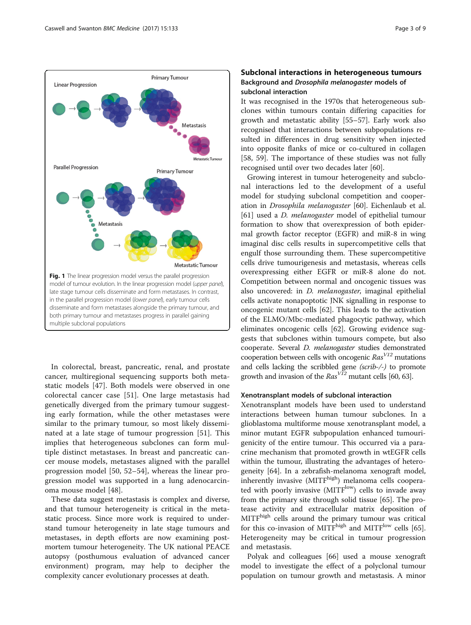<span id="page-2-0"></span>

In colorectal, breast, pancreatic, renal, and prostate cancer, multiregional sequencing supports both metastatic models [\[47](#page-7-0)]. Both models were observed in one colorectal cancer case [[51\]](#page-7-0). One large metastasis had genetically diverged from the primary tumour suggesting early formation, while the other metastases were similar to the primary tumour, so most likely disseminated at a late stage of tumour progression [[51](#page-7-0)]. This implies that heterogeneous subclones can form multiple distinct metastases. In breast and pancreatic cancer mouse models, metastases aligned with the parallel progression model [\[50](#page-7-0), [52](#page-7-0)–[54](#page-7-0)], whereas the linear progression model was supported in a lung adenocarcinoma mouse model [[48\]](#page-7-0).

These data suggest metastasis is complex and diverse, and that tumour heterogeneity is critical in the metastatic process. Since more work is required to understand tumour heterogeneity in late stage tumours and metastases, in depth efforts are now examining postmortem tumour heterogeneity. The UK national PEACE autopsy (posthumous evaluation of advanced cancer environment) program, may help to decipher the complexity cancer evolutionary processes at death.

# Subclonal interactions in heterogeneous tumours Background and Drosophila melanogaster models of subclonal interaction

It was recognised in the 1970s that heterogeneous subclones within tumours contain differing capacities for growth and metastatic ability [[55](#page-7-0)–[57](#page-7-0)]. Early work also recognised that interactions between subpopulations resulted in differences in drug sensitivity when injected into opposite flanks of mice or co-cultured in collagen [[58, 59\]](#page-7-0). The importance of these studies was not fully recognised until over two decades later [\[60](#page-7-0)].

Growing interest in tumour heterogeneity and subclonal interactions led to the development of a useful model for studying subclonal competition and cooperation in Drosophila melanogaster [\[60\]](#page-7-0). Eichenlaub et al. [[61\]](#page-7-0) used a *D. melanogaster* model of epithelial tumour formation to show that overexpression of both epidermal growth factor receptor (EGFR) and miR-8 in wing imaginal disc cells results in supercompetitive cells that engulf those surrounding them. These supercompetitive cells drive tumourigenesis and metastasis, whereas cells overexpressing either EGFR or miR-8 alone do not. Competition between normal and oncogenic tissues was also uncovered: in D. melanogaster, imaginal epithelial cells activate nonapoptotic JNK signalling in response to oncogenic mutant cells [\[62\]](#page-7-0). This leads to the activation of the ELMO/Mbc-mediated phagocytic pathway, which eliminates oncogenic cells [[62\]](#page-7-0). Growing evidence suggests that subclones within tumours compete, but also cooperate. Several D. melanogaster studies demonstrated cooperation between cells with oncogenic  $Ras<sup>V12</sup>$  mutations and cells lacking the scribbled gene (scrib-/-) to promote growth and invasion of the  $Ras<sup>VI2</sup>$  mutant cells [\[60, 63\]](#page-7-0).

#### Xenotransplant models of subclonal interaction

Xenotransplant models have been used to understand interactions between human tumour subclones. In a glioblastoma multiforme mouse xenotransplant model, a minor mutant EGFR subpopulation enhanced tumourigenicity of the entire tumour. This occurred via a paracrine mechanism that promoted growth in wtEGFR cells within the tumour, illustrating the advantages of heterogeneity [[64\]](#page-7-0). In a zebrafish-melanoma xenograft model, inherently invasive (MITF<sup>high</sup>) melanoma cells cooperated with poorly invasive (MITF<sup>low</sup>) cells to invade away from the primary site through solid tissue [\[65](#page-7-0)]. The protease activity and extracellular matrix deposition of MITF<sup>high</sup> cells around the primary tumour was critical for this co-invasion of MITF<sup>high</sup> and MITF<sup>low</sup> cells [\[65](#page-7-0)]. Heterogeneity may be critical in tumour progression and metastasis.

Polyak and colleagues [[66](#page-7-0)] used a mouse xenograft model to investigate the effect of a polyclonal tumour population on tumour growth and metastasis. A minor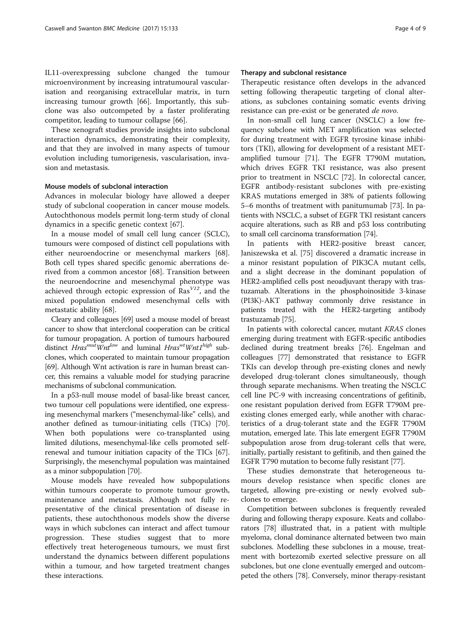IL11-overexpressing subclone changed the tumour microenvironment by increasing intratumoural vascularisation and reorganising extracellular matrix, in turn increasing tumour growth [\[66](#page-7-0)]. Importantly, this subclone was also outcompeted by a faster proliferating competitor, leading to tumour collapse [[66\]](#page-7-0).

These xenograft studies provide insights into subclonal interaction dynamics, demonstrating their complexity, and that they are involved in many aspects of tumour evolution including tumorigenesis, vascularisation, invasion and metastasis.

# Mouse models of subclonal interaction

Advances in molecular biology have allowed a deeper study of subclonal cooperation in cancer mouse models. Autochthonous models permit long-term study of clonal dynamics in a specific genetic context [\[67\]](#page-7-0).

In a mouse model of small cell lung cancer (SCLC), tumours were composed of distinct cell populations with either neuroendocrine or mesenchymal markers [\[68](#page-7-0)]. Both cell types shared specific genomic aberrations derived from a common ancestor [\[68](#page-7-0)]. Transition between the neuroendocrine and mesenchymal phenotype was achieved through ectopic expression of  $\text{Ras}^{V12}$ , and the mixed population endowed mesenchymal cells with metastatic ability [\[68](#page-7-0)].

Cleary and colleagues [\[69\]](#page-7-0) used a mouse model of breast cancer to show that interclonal cooperation can be critical for tumour propagation. A portion of tumours harboured distinct  $Hras^{mut}Wnt^{low}$  and luminal  $Hras^{wt}Wnt1^{high}$  subclones, which cooperated to maintain tumour propagation [[69](#page-7-0)]. Although Wnt activation is rare in human breast cancer, this remains a valuable model for studying paracrine mechanisms of subclonal communication.

In a p53-null mouse model of basal-like breast cancer, two tumour cell populations were identified, one expressing mesenchymal markers ("mesenchymal-like" cells), and another defined as tumour-initiating cells (TICs) [[70](#page-7-0)]. When both populations were co-transplanted using limited dilutions, mesenchymal-like cells promoted selfrenewal and tumour initiation capacity of the TICs [[67](#page-7-0)]. Surprisingly, the mesenchymal population was maintained as a minor subpopulation [\[70](#page-7-0)].

Mouse models have revealed how subpopulations within tumours cooperate to promote tumour growth, maintenance and metastasis. Although not fully representative of the clinical presentation of disease in patients, these autochthonous models show the diverse ways in which subclones can interact and affect tumour progression. These studies suggest that to more effectively treat heterogeneous tumours, we must first understand the dynamics between different populations within a tumour, and how targeted treatment changes these interactions.

# Therapy and subclonal resistance

Therapeutic resistance often develops in the advanced setting following therapeutic targeting of clonal alterations, as subclones containing somatic events driving resistance can pre-exist or be generated de novo.

In non-small cell lung cancer (NSCLC) a low frequency subclone with MET amplification was selected for during treatment with EGFR tyrosine kinase inhibitors (TKI), allowing for development of a resistant METamplified tumour [[71\]](#page-7-0). The EGFR T790M mutation, which drives EGFR TKI resistance, was also present prior to treatment in NSCLC [\[72\]](#page-7-0). In colorectal cancer, EGFR antibody-resistant subclones with pre-existing KRAS mutations emerged in 38% of patients following 5–6 months of treatment with panitumumab [\[73](#page-7-0)]. In patients with NSCLC, a subset of EGFR TKI resistant cancers acquire alterations, such as RB and p53 loss contributing to small cell carcinoma transformation [\[74\]](#page-7-0).

In patients with HER2-positive breast cancer, Janiszewska et al. [[75\]](#page-7-0) discovered a dramatic increase in a minor resistant population of PIK3CA mutant cells, and a slight decrease in the dominant population of HER2-amplified cells post neoadjuvant therapy with trastuzamab. Alterations in the phosphoinositide 3-kinase (PI3K)-AKT pathway commonly drive resistance in patients treated with the HER2-targeting antibody trastuzamab [[75](#page-7-0)].

In patients with colorectal cancer, mutant KRAS clones emerging during treatment with EGFR-specific antibodies declined during treatment breaks [[76\]](#page-7-0). Engelman and colleagues [[77](#page-7-0)] demonstrated that resistance to EGFR TKIs can develop through pre-existing clones and newly developed drug-tolerant clones simultaneously, though through separate mechanisms. When treating the NSCLC cell line PC-9 with increasing concentrations of gefitinib, one resistant population derived from EGFR T790M preexisting clones emerged early, while another with characteristics of a drug-tolerant state and the EGFR T790M mutation, emerged late. This late emergent EGFR T790M subpopulation arose from drug-tolerant cells that were, initially, partially resistant to gefitinib, and then gained the EGFR T790 mutation to become fully resistant [\[77\]](#page-7-0).

These studies demonstrate that heterogeneous tumours develop resistance when specific clones are targeted, allowing pre-existing or newly evolved subclones to emerge.

Competition between subclones is frequently revealed during and following therapy exposure. Keats and collaborators [[78\]](#page-7-0) illustrated that, in a patient with multiple myeloma, clonal dominance alternated between two main subclones. Modelling these subclones in a mouse, treatment with bortezomib exerted selective pressure on all subclones, but one clone eventually emerged and outcompeted the others [[78](#page-7-0)]. Conversely, minor therapy-resistant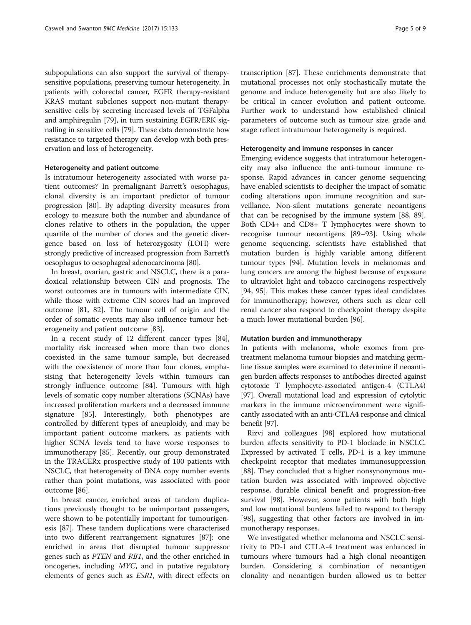subpopulations can also support the survival of therapysensitive populations, preserving tumour heterogeneity. In patients with colorectal cancer, EGFR therapy-resistant KRAS mutant subclones support non-mutant therapysensitive cells by secreting increased levels of TGFalpha and amphiregulin [\[79](#page-7-0)], in turn sustaining EGFR/ERK signalling in sensitive cells [[79](#page-7-0)]. These data demonstrate how resistance to targeted therapy can develop with both preservation and loss of heterogeneity.

## Heterogeneity and patient outcome

Is intratumour heterogeneity associated with worse patient outcomes? In premalignant Barrett's oesophagus, clonal diversity is an important predictor of tumour progression [\[80](#page-7-0)]. By adapting diversity measures from ecology to measure both the number and abundance of clones relative to others in the population, the upper quartile of the number of clones and the genetic divergence based on loss of heterozygosity (LOH) were strongly predictive of increased progression from Barrett's oesophagus to oesophageal adenocarcinoma [\[80\]](#page-7-0).

In breast, ovarian, gastric and NSCLC, there is a paradoxical relationship between CIN and prognosis. The worst outcomes are in tumours with intermediate CIN, while those with extreme CIN scores had an improved outcome [[81, 82\]](#page-7-0). The tumour cell of origin and the order of somatic events may also influence tumour heterogeneity and patient outcome [[83\]](#page-7-0).

In a recent study of 12 different cancer types [\[84](#page-7-0)], mortality risk increased when more than two clones coexisted in the same tumour sample, but decreased with the coexistence of more than four clones, emphasising that heterogeneity levels within tumours can strongly influence outcome [[84](#page-7-0)]. Tumours with high levels of somatic copy number alterations (SCNAs) have increased proliferation markers and a decreased immune signature [[85\]](#page-7-0). Interestingly, both phenotypes are controlled by different types of aneuploidy, and may be important patient outcome markers, as patients with higher SCNA levels tend to have worse responses to immunotherapy [[85\]](#page-7-0). Recently, our group demonstrated in the TRACERx prospective study of 100 patients with NSCLC, that heterogeneity of DNA copy number events rather than point mutations, was associated with poor outcome [\[86](#page-7-0)].

In breast cancer, enriched areas of tandem duplications previously thought to be unimportant passengers, were shown to be potentially important for tumourigenesis [\[87](#page-7-0)]. These tandem duplications were characterised into two different rearrangement signatures [[87\]](#page-7-0): one enriched in areas that disrupted tumour suppressor genes such as PTEN and RB1, and the other enriched in oncogenes, including MYC, and in putative regulatory elements of genes such as ESR1, with direct effects on transcription [[87](#page-7-0)]. These enrichments demonstrate that mutational processes not only stochastically mutate the genome and induce heterogeneity but are also likely to be critical in cancer evolution and patient outcome. Further work to understand how established clinical parameters of outcome such as tumour size, grade and stage reflect intratumour heterogeneity is required.

#### Heterogeneity and immune responses in cancer

Emerging evidence suggests that intratumour heterogeneity may also influence the anti-tumour immune response. Rapid advances in cancer genome sequencing have enabled scientists to decipher the impact of somatic coding alterations upon immune recognition and surveillance. Non-silent mutations generate neoantigens that can be recognised by the immune system [[88](#page-7-0), [89](#page-7-0)]. Both CD4+ and CD8+ T lymphocytes were shown to recognise tumour neoantigens [\[89](#page-7-0)–[93\]](#page-8-0). Using whole genome sequencing, scientists have established that mutation burden is highly variable among different tumour types [\[94](#page-8-0)]. Mutation levels in melanomas and lung cancers are among the highest because of exposure to ultraviolet light and tobacco carcinogens respectively [[94, 95](#page-8-0)]. This makes these cancer types ideal candidates for immunotherapy; however, others such as clear cell renal cancer also respond to checkpoint therapy despite a much lower mutational burden [\[96](#page-8-0)].

# Mutation burden and immunotherapy

In patients with melanoma, whole exomes from pretreatment melanoma tumour biopsies and matching germline tissue samples were examined to determine if neoantigen burden affects responses to antibodies directed against cytotoxic T lymphocyte-associated antigen-4 (CTLA4) [[97](#page-8-0)]. Overall mutational load and expression of cytolytic markers in the immune microenvironment were significantly associated with an anti-CTLA4 response and clinical benefit [\[97\]](#page-8-0).

Rizvi and colleagues [[98](#page-8-0)] explored how mutational burden affects sensitivity to PD-1 blockade in NSCLC. Expressed by activated T cells, PD-1 is a key immune checkpoint receptor that mediates immunosuppression [[88\]](#page-7-0). They concluded that a higher nonsynonymous mutation burden was associated with improved objective response, durable clinical benefit and progression-free survival [[98\]](#page-8-0). However, some patients with both high and low mutational burdens failed to respond to therapy [[98\]](#page-8-0), suggesting that other factors are involved in immunotherapy responses.

We investigated whether melanoma and NSCLC sensitivity to PD-1 and CTLA-4 treatment was enhanced in tumours where tumours had a high clonal neoantigen burden. Considering a combination of neoantigen clonality and neoantigen burden allowed us to better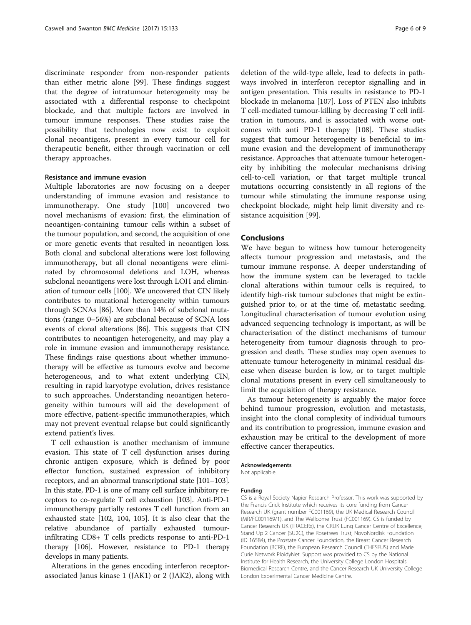discriminate responder from non-responder patients than either metric alone [\[99\]](#page-8-0). These findings suggest that the degree of intratumour heterogeneity may be associated with a differential response to checkpoint blockade, and that multiple factors are involved in tumour immune responses. These studies raise the possibility that technologies now exist to exploit clonal neoantigens, present in every tumour cell for therapeutic benefit, either through vaccination or cell therapy approaches.

# Resistance and immune evasion

Multiple laboratories are now focusing on a deeper understanding of immune evasion and resistance to immunotherapy. One study [[100\]](#page-8-0) uncovered two novel mechanisms of evasion: first, the elimination of neoantigen-containing tumour cells within a subset of the tumour population, and second, the acquisition of one or more genetic events that resulted in neoantigen loss. Both clonal and subclonal alterations were lost following immunotherapy, but all clonal neoantigens were eliminated by chromosomal deletions and LOH, whereas subclonal neoantigens were lost through LOH and elimination of tumour cells [[100](#page-8-0)]. We uncovered that CIN likely contributes to mutational heterogeneity within tumours through SCNAs [\[86\]](#page-7-0). More than 14% of subclonal mutations (range: 0–56%) are subclonal because of SCNA loss events of clonal alterations [\[86\]](#page-7-0). This suggests that CIN contributes to neoantigen heterogeneity, and may play a role in immune evasion and immunotherapy resistance. These findings raise questions about whether immunotherapy will be effective as tumours evolve and become heterogeneous, and to what extent underlying CIN, resulting in rapid karyotype evolution, drives resistance to such approaches. Understanding neoantigen heterogeneity within tumours will aid the development of more effective, patient-specific immunotherapies, which may not prevent eventual relapse but could significantly extend patient's lives.

T cell exhaustion is another mechanism of immune evasion. This state of T cell dysfunction arises during chronic antigen exposure, which is defined by poor effector function, sustained expression of inhibitory receptors, and an abnormal transcriptional state [\[101](#page-8-0)–[103](#page-8-0)]. In this state, PD-1 is one of many cell surface inhibitory receptors to co-regulate T cell exhaustion [\[103](#page-8-0)]. Anti-PD-1 immunotherapy partially restores T cell function from an exhausted state [\[102, 104, 105](#page-8-0)]. It is also clear that the relative abundance of partially exhausted tumourinfiltrating CD8+ T cells predicts response to anti-PD-1 therapy [\[106\]](#page-8-0). However, resistance to PD-1 therapy develops in many patients.

Alterations in the genes encoding interferon receptorassociated Janus kinase 1 (JAK1) or 2 (JAK2), along with deletion of the wild-type allele, lead to defects in pathways involved in interferon receptor signalling and in antigen presentation. This results in resistance to PD-1 blockade in melanoma [\[107](#page-8-0)]. Loss of PTEN also inhibits T cell-mediated tumour-killing by decreasing T cell infiltration in tumours, and is associated with worse outcomes with anti PD-1 therapy [[108](#page-8-0)]. These studies suggest that tumour heterogeneity is beneficial to immune evasion and the development of immunotherapy resistance. Approaches that attenuate tumour heterogeneity by inhibiting the molecular mechanisms driving cell-to-cell variation, or that target multiple truncal mutations occurring consistently in all regions of the tumour while stimulating the immune response using checkpoint blockade, might help limit diversity and resistance acquisition [\[99\]](#page-8-0).

# **Conclusions**

We have begun to witness how tumour heterogeneity affects tumour progression and metastasis, and the tumour immune response. A deeper understanding of how the immune system can be leveraged to tackle clonal alterations within tumour cells is required, to identify high-risk tumour subclones that might be extinguished prior to, or at the time of, metastatic seeding. Longitudinal characterisation of tumour evolution using advanced sequencing technology is important, as will be characterisation of the distinct mechanisms of tumour heterogeneity from tumour diagnosis through to progression and death. These studies may open avenues to attenuate tumour heterogeneity in minimal residual disease when disease burden is low, or to target multiple clonal mutations present in every cell simultaneously to limit the acquisition of therapy resistance.

As tumour heterogeneity is arguably the major force behind tumour progression, evolution and metastasis, insight into the clonal complexity of individual tumours and its contribution to progression, immune evasion and exhaustion may be critical to the development of more effective cancer therapeutics.

#### Acknowledgements

Not applicable.

## Funding

CS is a Royal Society Napier Research Professor. This work was supported by the Francis Crick Institute which receives its core funding from Cancer Research UK (grant number FC001169), the UK Medical Research Council (MR/FC001169/1), and The Wellcome Trust (FC001169). CS is funded by Cancer Research UK (TRACERx), the CRUK Lung Cancer Centre of Excellence, Stand Up 2 Cancer (SU2C), the Rosetrees Trust, NovoNordisk Foundation (ID 16584), the Prostate Cancer Foundation, the Breast Cancer Research Foundation (BCRF), the European Research Council (THESEUS) and Marie Curie Network PloidyNet. Support was provided to CS by the National Institute for Health Research, the University College London Hospitals Biomedical Research Centre, and the Cancer Research UK University College London Experimental Cancer Medicine Centre.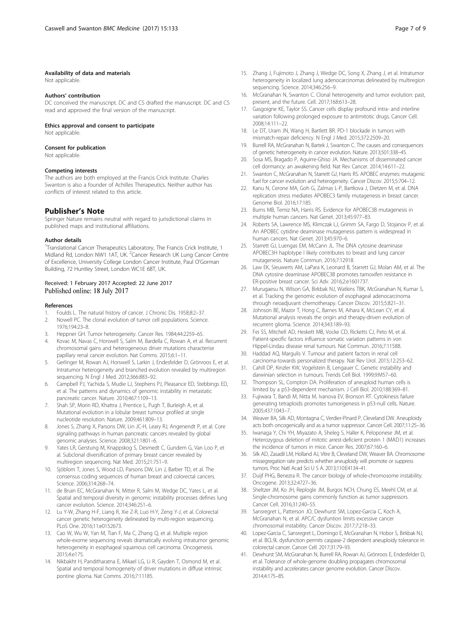#### <span id="page-6-0"></span>Availability of data and materials

Not applicable.

#### Authors' contribution

DC conceived the manuscript. DC and CS drafted the manuscript. DC and CS read and approved the final version of the manuscript.

#### Ethics approval and consent to participate

Not applicable.

#### Consent for publication

Not applicable.

#### Competing interests

The authors are both employed at the Francis Crick Institute. Charles Swanton is also a founder of Achilles Therapeutics. Neither author has conflicts of interest related to this article.

# Publisher's Note

Springer Nature remains neutral with regard to jurisdictional claims in published maps and institutional affiliations.

#### Author details

<sup>1</sup>Translational Cancer Therapeutics Laboratory, The Francis Crick Institute, 1 Midland Rd, London NW1 1AT, UK. <sup>2</sup> Cancer Research UK Lung Cancer Centre of Excellence, University College London Cancer Institute, Paul O'Gorman Building, 72 Huntley Street, London WC1E 6BT, UK.

## Received: 1 February 2017 Accepted: 22 June 2017 Published online: 18 July 2017

#### References

- 1. Foulds L. The natural history of cancer. J Chronic Dis. 1958;8:2–37.
- 2. Nowell PC. The clonal evolution of tumor cell populations. Science. 1976;194:23–8.
- 3. Heppner GH. Tumor heterogeneity. Cancer Res. 1984;44:2259–65.
- 4. Kovac M, Navas C, Horswell S, Salm M, Bardella C, Rowan A, et al. Recurrent chromosomal gains and heterogeneous driver mutations characterise papillary renal cancer evolution. Nat Comms. 2015;6:1–11.
- 5. Gerlinger M, Rowan AJ, Horswell S, Larkin J, Endesfelder D, Grönroos E, et al. Intratumor heterogeneity and branched evolution revealed by multiregion sequencing. N Engl J Med. 2012;366:883–92.
- 6. Campbell PJ, Yachida S, Mudie LJ, Stephens PJ, Pleasance ED, Stebbings ED, et al. The patterns and dynamics of genomic instability in metastatic pancreatic cancer. Nature. 2010;467:1109–13.
- 7. Shah SP, Morin RD, Khattra J, Prentice L, Pugh T, Burleigh A, et al. Mutational evolution in a lobular breast tumour profiled at single nucleotide resolution. Nature. 2009;461:809–13.
- 8. Jones S, Zhang X, Parsons DW, Lin JC-H, Leary RJ, Angenendt P, et al. Core signaling pathways in human pancreatic cancers revealed by global genomic analyses. Science. 2008;321:1801–6.
- 9. Yates LR, Gerstung M, Knappskog S, Desmedt C, Gundem G, Van Loo P, et al. Subclonal diversification of primary breast cancer revealed by multiregion sequencing. Nat Med. 2015;21:751–9.
- 10. Sjöblom T, Jones S, Wood LD, Parsons DW, Lin J, Barber TD, et al. The consensus coding sequences of human breast and colorectal cancers. Science. 2006;314:268–74.
- 11. de Bruin EC, McGranahan N, Mitter R, Salm M, Wedge DC, Yates L, et al. Spatial and temporal diversity in genomic instability processes defines lung cancer evolution. Science. 2014;346:251–6.
- 12. Lu Y-W, Zhang H-F, Liang R, Xie Z-R, Luo H-Y, Zeng Y-J, et al. Colorectal cancer genetic heterogeneity delineated by multi-region sequencing. PLoS One. 2016;11:e0152673.
- 13. Cao W, Wu W, Yan M, Tian F, Ma C, Zhang Q, et al. Multiple region whole-exome sequencing reveals dramatically evolving intratumor genomic heterogeneity in esophageal squamous cell carcinoma. Oncogenesis. 2015;4:e175.
- 14. Nikbakht H, Panditharatna E, Mikael LG, Li R, Gayden T, Osmond M, et al. Spatial and temporal homogeneity of driver mutations in diffuse intrinsic pontine glioma. Nat Comms. 2016;7:11185.
- 15. Zhang J, Fujimoto J, Zhang J, Wedge DC, Song X, Zhang J, et al. Intratumor heterogeneity in localized lung adenocarcinomas delineated by multiregion sequencing. Science. 2014;346:256–9.
- 16. McGranahan N, Swanton C. Clonal heterogeneity and tumor evolution: past, present, and the future. Cell. 2017;168:613–28.
- 17. Gasgoigne KE, Taylor SS. Cancer cells display profound intra- and interline variation following prolonged exposure to antimitotic drugs. Cancer Cell. 2008;14:111–22.
- 18. Le DT, Uram JN, Wang H, Bartlett BR. PD-1 blockade in tumors with mismatch-repair deficiency. N Engl J Med. 2015;372:2509–20.
- 19. Burrell RA, McGranahan N, Bartek J, Swanton C. The causes and consequences of genetic heterogeneity in cancer evolution. Nature. 2013;501:338–45.
- 20. Sosa MS, Bragado P, Aguirre-Ghiso JA. Mechanisms of disseminated cancer cell dormancy: an awakening field. Nat Rev Cancer. 2014;14:611–22.
- 21. Swanton C, McGranahan N, Starrett GJ, Harris RS. APOBEC enzymes: mutagenic fuel for cancer evolution and heterogeneity. Cancer Discov. 2015;5:704–12.
- 22. Kanu N, Cerone MA, Goh G, Zalmas L-P, Bartkova J, Dietzen M, et al. DNA replication stress mediates APOBEC3 family mutagenesis in breast cancer. Genome Biol. 2016;17:185.
- 23. Burns MB, Temiz NA, Harris RS. Evidence for APOBEC3B mutagenesis in multiple human cancers. Nat Genet. 2013;45:977–83.
- 24. Roberts SA, Lawrence MS, Klimczak LJ, Grimm SA, Fargo D, Stojanov P, et al. An APOBEC cytidine deaminase mutagenesis pattern is widespread in human cancers. Nat Genet. 2013;45:970–6.
- 25. Starrett GJ, Luengas EM, McCann JL. The DNA cytosine deaminase APOBEC3H haplotype I likely contributes to breast and lung cancer mutagenesis. Nature Commun. 2016;7:12918.
- 26. Law EK, Sieuwerts AM, LaPara K, Leonard B, Starrett GJ, Molan AM, et al. The DNA cytosine deaminase APOBEC3B promotes tamoxifen resistance in ER-positive breast cancer. Sci Adv. 2016;2:e1601737.
- 27. Murugaesu N, Wilson GA, Birkbak NJ, Watkins TBK, McGranahan N, Kumar S, et al. Tracking the genomic evolution of esophageal adenocarcinoma through neoadjuvant chemotherapy. Cancer Discov. 2015;5:821–31.
- 28. Johnson BE, Mazor T, Hong C, Barnes M, Aihara K, McLean CY, et al. Mutational analysis reveals the origin and therapy-driven evolution of recurrent glioma. Science. 2014;343:189–93.
- 29. Fei SS, Mitchell AD, Heskett MB, Vocke CD, Ricketts CJ, Peto M, et al. Patient-specific factors influence somatic variation patterns in von Hippel-Lindau disease renal tumours. Nat Commun. 2016;7:11588.
- 30. Haddad AQ, Margulis V. Tumour and patient factors in renal cell carcinoma-towards personalized therapy. Nat Rev Urol. 2015;12:253–62.
- 31. Cahill DP, Kinzler KW, Vogelstein B, Lengauer C. Genetic instability and darwinian selection in tumours. Trends Cell Biol. 1999;9:M57–60.
- 32. Thompson SL, Compton DA. Proliferation of aneuploid human cells is limited by a p53-dependent mechanism. J Cell Biol. 2010;188:369–81.
- 33. Fujiwara T, Bandi M, Nitta M, Ivanova EV, Bronson RT. Cytokinesis failure generating tetraploids promotes tumorigenesis in p53-null cells. Nature. 2005;437:1043–7.
- 34. Weaver BA, Silk AD, Montagna C, Verdier-Pinard P, Cleveland DW. Aneuploidy acts both oncogenically and as a tumor suppressor. Cancer Cell. 2007;11:25–36.
- 35. Iwanaga Y, Chi YH, Miyazato A, Sheleg S, Haller K, Peloponese JM, et al. Heterozygous deletion of mitotic arrest-deficient protein 1 (MAD1) increases the incidence of tumors in mice. Cancer Res. 2007;67:160–6.
- 36. Silk AD, Zasadil LM, Holland AJ, Vitre B, Cleveland DW, Weaver BA. Chromosome missegregation rate predicts whether aneuploidy will promote or suppress tumors. Proc Natl Acad Sci U S A. 2013;110:E4134–41.
- 37. Duijf PHG, Benezra R. The cancer biology of whole-chromosome instability. Oncogene. 2013;32:4727–36.
- 38. Sheltzer JM, Ko JH, Replogle JM, Burgos NCH, Chung ES, Meehl CM, et al. Single-chromosome gains commonly function as tumor suppressors. Cancer Cell. 2016;31:240–55.
- 39. Sansregret L, Patterson JO, Dewhurst SM, Lopez-Garcia C, Koch A, McGranahan N, et al. APC/C dysfuntion limits excessive cancer chromosomal instability. Cancer Discov. 2017;7:218–33.
- 40. Lopez-Garcia C, Sansregret L, Domingo E, McGranahan N, Hobor S, Birkbak NJ, et al. BCL9L dysfunction permits caspase-2 dependent aneuploidy tolerance in colorectal cancer. Cancer Cell. 2017;31:79–93.
- 41. Dewhurst SM, McGranahan N, Burrell RA, Rowan AJ, Grönroos E, Endesfelder D, et al. Tolerance of whole-genome doubling propagates chromosomal instability and accelerates cancer genome evolution. Cancer Discov. 2014;4:175–85.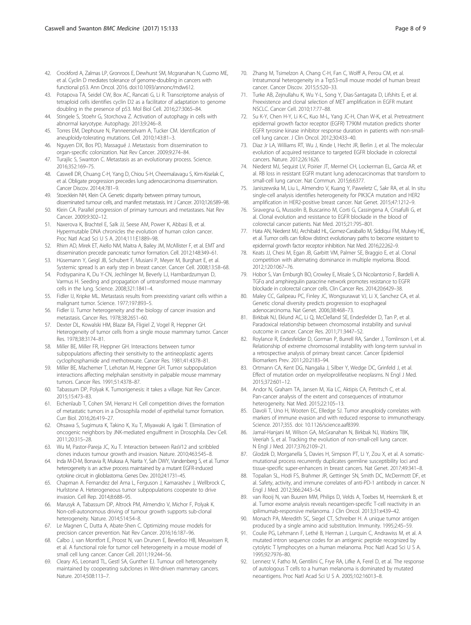- <span id="page-7-0"></span>42. Crockford A, Zalmas LP, Gronroos E, Dewhurst SM, Mcgranahan N, Cuomo ME, et al. Cyclin D mediates tolerance of genome-doubling in cancers with functional p53. Ann Oncol. 2016. doi:[10.1093/annonc/mdw612.](http://dx.doi.org/10.1093/annonc/mdw612)
- 43. Potapova TA, Seidel CW, Box AC, Rancati G, Li R. Transcriptome analysis of tetraploid cells identifies cyclin D2 as a facilitator of adaptation to genome doubling in the presence of p53. Mol Biol Cell. 2016;27:3065–84.
- 44. Stingele S, Stoehr G, Storchova Z. Activation of autophagy in cells with abnormal karyotype. Autophagy. 2013;9:246–8.
- 45. Torres EM, Dephoure N, Panneerselvam A, Tucker CM. Identification of aneuploidy-tolerating mutations. Cell. 2010;143:81–3.
- 46. Nguyen DX, Bos PD, Massagué J. Metastasis: from dissemination to organ-specific colonization. Nat Rev Cancer. 2009;9:274–84.
- 47. Turajlic S, Swanton C. Metastasis as an evolutionary process. Science. 2016;352:169–75.
- 48. Caswell DR, Chuang C-H, Yang D, Chiou S-H, Cheemalavagu S, Kim-Kiselak C, et al. Obligate progression precedes lung adenocarcinoma dissemination. Cancer Discov. 2014;4:781–9.
- 49. Stoecklein NH, Klein CA. Genetic disparity between primary tumours, disseminated tumour cells, and manifest metastasis. Int J Cancer. 2010;126:589–98.
- 50. Klein CA. Parallel progression of primary tumours and metastases. Nat Rev Cancer. 2009;9:302–12.
- 51. Naxerova K, Brachtel E, Salk JJ, Seese AM, Power K, Abbasi B, et al. Hypermutable DNA chronicles the evolution of human colon cancer. Proc Natl Acad Sci U S A. 2014;111:E1889–98.
- Rhim AD, Mirek ET, Aiello NM, Maitra A, Bailey JM, McAllister F, et al. EMT and dissemination precede pancreatic tumor formation. Cell. 2012;148:349–61.
- 53. Hüsemann Y, Geigl JB, Schubert F, Musiani P, Meyer M, Burghart E, et al. Systemic spread Is an early step in breast cancer. Cancer Cell. 2008;13:58–68.
- 54. Podsypanina K, Du Y-CN, Jechlinger M, Beverly LJ, Hambardzumyan D, Varmus H. Seeding and propagation of untransformed mouse mammary cells in the lung. Science. 2008;321:1841–4.
- 55. Fidler IJ, Kripke ML. Metastasis results from preexisting variant cells within a malignant tumor. Science. 1977;197:893–5.
- 56. Fidler IJ. Tumor heterogeneity and the biology of cancer invasion and metastasis. Cancer Res. 1978;38:2651–60.
- 57. Dexter DL, Kowalski HM, Blazar BA, Fligiel Z, Vogel R, Heppner GH. Heterogeneity of tumor cells from a single mouse mammary tumor. Cancer Res. 1978;38:3174–81.
- 58. Miller BE, Miller FR, Heppner GH. Interactions between tumor subpopulations affecting their sensitivity to the antineoplastic agents cyclophosphamide and methotrexate. Cancer Res. 1981;41:4378–81.
- 59. Miller BE, Machemer T, Lehotan M, Heppner GH. Tumor subpopulation interactions affecting melphalan sensitivity in palpable mouse mammary tumors. Cancer Res. 1991;51:4378–87.
- 60. Tabassum DP, Polyak K. Tumorigenesis: it takes a village. Nat Rev Cancer. 2015;15:473–83.
- 61. Eichenlaub T, Cohen SM, Herranz H. Cell competition drives the formation of metastatic tumors in a Drosophila model of epithelial tumor formation. Curr Biol. 2016;26:419–27.
- 62. Ohsawa S, Sugimura K, Takino K, Xu T, Miyawaki A, Igaki T. Elimination of oncogenic neighbors by JNK-mediated engulfment in Drosophila. Dev Cell. 2011;20:315–28.
- 63. Wu M, Pastor-Pareja JC, Xu T. Interaction between RasV12 and scribbled clones induces tumour growth and invasion. Nature. 2010;463:545–8.
- 64. Inda M-D-M, Bonavia R, Mukasa A, Narita Y, Sah DWY, Vandenberg S, et al. Tumor heterogeneity is an active process maintained by a mutant EGFR-induced cytokine circuit in glioblastoma. Genes Dev. 2010;24:1731–45.
- 65. Chapman A. Fernandez del Ama L, Ferguson J, Kamarashev J, Wellbrock C, Hurlstone A. Heterogeneous tumor subpopulations cooperate to drive invasion. Cell Rep. 2014;8:688–95.
- 66. Marusyk A, Tabassum DP, Altrock PM, Almendro V, Michor F, Polyak K. Non-cell-autonomous driving of tumour growth supports sub-clonal heterogeneity. Nature. 2014;514:54–8.
- 67. Le Magnen C, Dutta A, Abate-Shen C. Optimizing mouse models for precision cancer prevention. Nat Rev Cancer. 2016;16:187–96.
- 68. Calbo J, van Montfort E, Proost N, van Drunen E, Beverloo HB, Meuwissen R, et al. A functional role for tumor cell heterogeneity in a mouse model of small cell lung cancer. Cancer Cell. 2011;19:244–56.
- 69. Cleary AS, Leonard TL, Gestl SA, Gunther EJ. Tumour cell heterogeneity maintained by cooperating subclones in Wnt-driven mammary cancers. Nature. 2014;508:113–7.
- 70. Zhang M, Tsimelzon A, Chang C-H, Fan C, Wolff A, Perou CM, et al. Intratumoral heterogeneity in a Trp53-null mouse model of human breast cancer. Cancer Discov. 2015;5:520–33.
- 71. Turke AB, Zejnullahu K, Wu Y-L, Song Y, Dias-Santagata D, Lifshits E, et al. Preexistence and clonal selection of MET amplification in EGFR mutant NSCLC. Cancer Cell. 2010;17:77–88.
- 72. Su K-Y, Chen H-Y, Li K-C, Kuo M-L, Yang JC-H, Chan W-K, et al. Pretreatment epidermal growth factor receptor (EGFR) T790M mutation predicts shorter EGFR tyrosine kinase inhibitor response duration in patients with non-smallcell lung cancer. J Clin Oncol. 2012;30:433–40.
- 73. Diaz Jr LA, Williams RT, Wu J, Kinde I, Hecht JR, Berlin J, et al. The molecular evolution of acquired resistance to targeted EGFR blockade in colorectal cancers. Nature. 2012;26:1626.
- 74. Niederst MJ, Sequist LV, Poirier JT, Mermel CH, Lockerman EL, Garcia AR, et al. RB loss in resistant EGFR mutant lung adenocarcinomas that transform to small-cell lung cancer. Nat Commun. 2015;6:6377.
- 75. Janiszewska M, Liu L, Almendro V, Kuang Y, Paweletz C, Sakr RA, et al. In situ single-cell analysis identifies heterogeneity for PIK3CA mutation and HER2 amplification in HER2-positive breast cancer. Nat Genet. 2015;47:1212–9.
- 76. Siravegna G, Mussolin B, Buscarino M, Corti G, Cassingena A, Crisafulli G, et al. Clonal evolution and resistance to EGFR blockade in the blood of colorectal cancer patients. Nat Med. 2015;21:795–801.
- 77. Hata AN, Niederst MJ, Archibald HL, Gomez-Caraballo M, Siddiqui FM, Mulvey HE, et al. Tumor cells can follow distinct evolutionary paths to become resistant to epidermal growth factor receptor inhibition. Nat Med. 2016;22:262–9.
- 78. Keats JJ, Chesi M, Egan JB, Garbitt VM, Palmer SE, Braggio E, et al. Clonal competition with alternating dominance in multiple myeloma. Blood. 2012;120:1067–76.
- 79. Hobor S, Van Emburgh BO, Crowley E, Misale S, Di Nicolantonio F, Bardelli A. TGFα and amphiregulin paracrine network promotes resistance to EGFR blockade in colorectal cancer cells. Clin Cancer Res. 2014;20:6429–38.
- 80. Maley CC, Galipeau PC, Finley JC, Wongsurawat VJ, Li X, Sanchez CA, et al. Genetic clonal diversity predicts progression to esophageal adenocarcinoma. Nat Genet. 2006;38:468–73.
- 81. Birkbak NJ, Eklund AC, Li Q, McClelland SE, Endesfelder D, Tan P, et al. Paradoxical relationship between chromosomal instability and survival outcome in cancer. Cancer Res. 2011;71:3447–52.
- 82. Roylance R, Endesfelder D, Gorman P, Burrell RA, Sander J, Tomlinson I, et al. Relationship of extreme chromosomal instability with long-term survival in a retrospective analysis of primary breast cancer. Cancer Epidemiol Biomarkers Prev. 2011;20:2183–94.
- 83. Ortmann CA, Kent DG, Nangalia J, Silber Y, Wedge DC, Grinfeld J, et al. Effect of mutation order on myeloproliferative neoplasms. N Engl J Med. 2015;372:601–12.
- Andor N, Graham TA, Jansen M, Xia LC, Aktipis CA, Petritsch C, et al. Pan-cancer analysis of the extent and consequences of intratumor heterogeneity. Nat Med. 2015;22:105–13.
- 85. Davoli T, Uno H, Wooten EC, Elledge SJ. Tumor aneuploidy correlates with markers of immune evasion and with reduced response to immunotherapy. Science. 2017;355. doi: [10.1126/science.aaf8399.](http://dx.doi.org/10.1126/science.aaf8399)
- 86. Jamal-Hanjani M, Wilson GA, McGranahan N, Birkbak NJ, Watkins TBK, Veeriah S, et al. Tracking the evolution of non-small-cell lung cancer. N Engl J Med. 2017;376:2109–21.
- 87. Glodzik D, Morganella S, Davies H, Simpson PT, Li Y, Zou X, et al. A somaticmutational process recurrently duplicates germline susceptibility loci and tissue-specific super-enhancers in breast cancers. Nat Genet. 2017;49:341–8.
- 88. Topalian SL, Hodi FS, Brahmer JR, Gettinger SN, Smith DC, McDermott DF, et al. Safety, activity, and immune correlates of anti-PD-1 antibody in cancer. N Engl J Med. 2012;366:2443–54.
- 89. van Rooij N, van Buuren MM, Philips D, Velds A, Toebes M, Heemskerk B, et al. Tumor exome analysis reveals neoantigen-specific T-cell reactivity in an ipilimumab-responsive melanoma. J Clin Oncol. 2013;31:e439–42.
- 90. Monach PA, Meredith SC, Siegel CT, Schreiber H. A unique tumor antigen produced by a single amino acid substitution. Immunity. 1995;2:45–59.
- 91. Coulie PG, Lehmann F, Lethé B, Herman J, Lurquin C, Andrawiss M, et al. A mutated intron sequence codes for an antigenic peptide recognized by cytolytic T lymphocytes on a human melanoma. Proc Natl Acad Sci U S A. 1995;92:7976–80.
- 92. Lennerz V, Fatho M, Gentilini C, Frye RA, Lifke A, Ferel D, et al. The response of autologous T cells to a human melanoma is dominated by mutated neoantigens. Proc Natl Acad Sci U S A. 2005;102:16013–8.